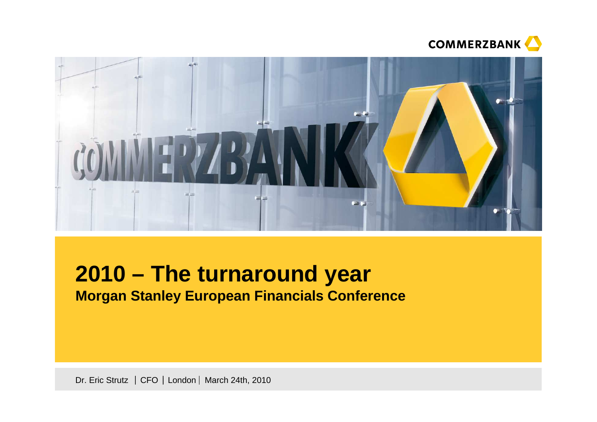



# **2010 – The turnaround yearMorgan Stanley European Financials Conference**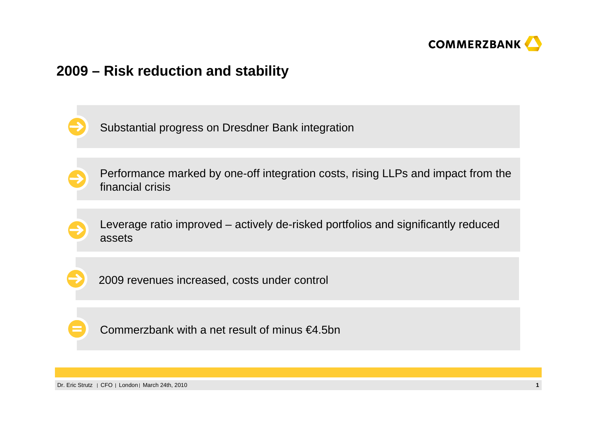

### **2009 – Risk reduction and stability**

Substantial progress on Dresdner Bank integration

Performance marked by one-off integration costs, rising LLPs and impact from the financial crisis

Leverage ratio improved – actively de-risked portfolios and significantly reduced assets

2009 revenues increased, costs under control



Commerzbank with a net result of minus €4.5bn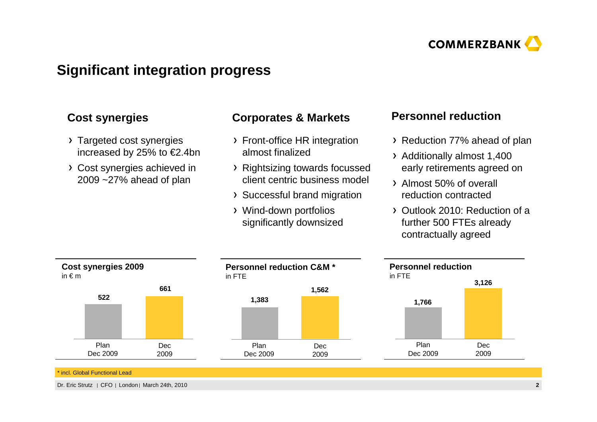

# **Significant integration progress**

- > Targeted cost synergies increased by 25% to €2.4bn
- Cost synergies achieved in 2009 ~27% ahead of plan

### **Corporates & MarketsCost synergies Personnel reduction**

- Front-office HR integration almost finalized
- Rightsizing towards focussedclient centric business model
- Successful brand migration
- Wind-down portfolios significantly downsized

- Reduction 77% ahead of plan
- Additionally almost 1,400 early retirements agreed on
- Almost 50% of overall reduction contracted
- Outlook 2010: Reduction of a further 500 FTEs already contractually agreed



\* incl. Global Functional Lead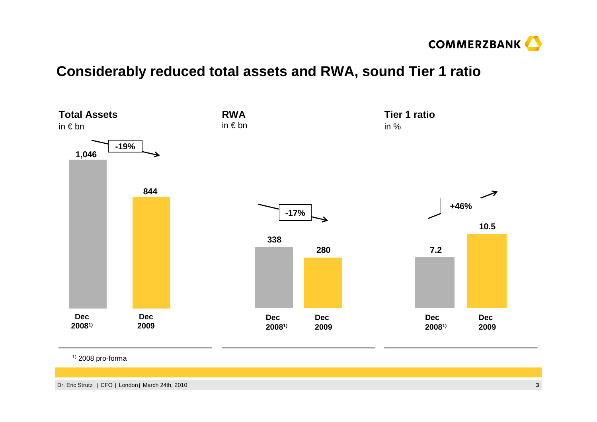

### **Considerably reduced total assets and RWA, sound Tier 1 ratio**



<sup>1)</sup> 2008 pro-forma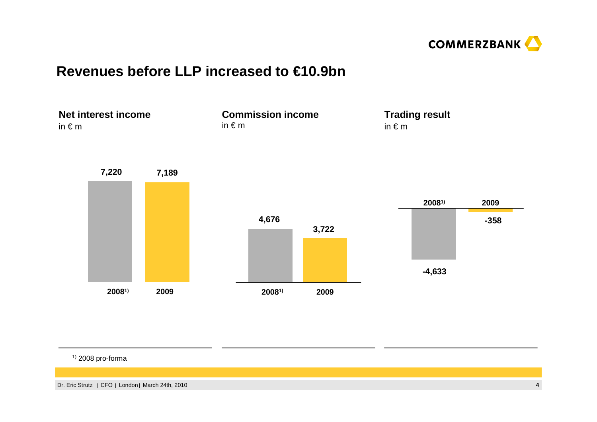

### **Revenues before LLP increased to €10.9bn**



<sup>1)</sup> 2008 pro-forma

Dr. Eric Strutz CFO London March 24th, 2010

**<sup>4</sup>**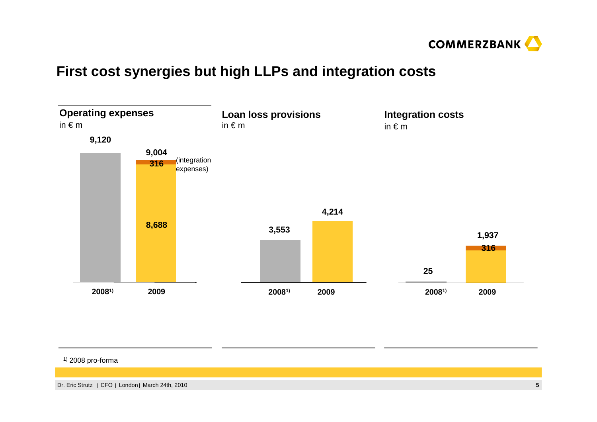

### **First cost synergies but high LLPs and integration costs**



#### <sup>1)</sup> 2008 pro-forma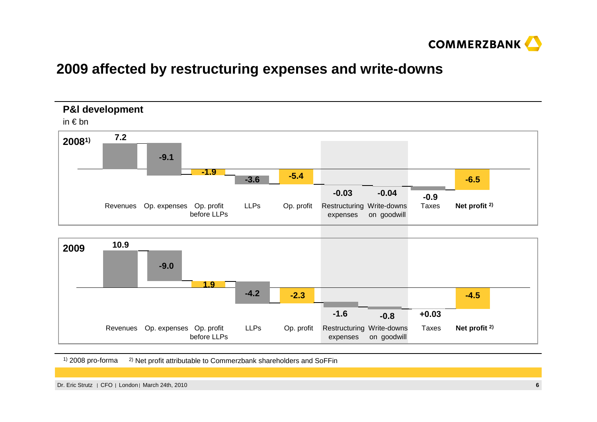

### **2009 affected by restructuring expenses and write-downs**



Revenues Op. expenses Op. profit before LLPsLLPs Op. profit Restructuring Write-downs expenses on goodwillTaxes**Net profit 2)**

<sup>1)</sup> 2008 pro-forma <sup>2)</sup> Net profit attributable to Commerzbank shareholders and SoFFin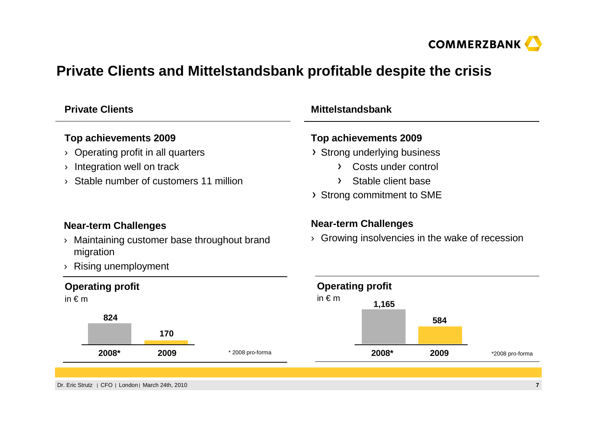

# **Private Clients and Mittelstandsbank profitable despite the crisis**

| <b>Private Clients</b>                                  | <b>Mittelstandsbank</b>                            |  |  |  |  |
|---------------------------------------------------------|----------------------------------------------------|--|--|--|--|
| Top achievements 2009                                   | Top achievements 2009                              |  |  |  |  |
| Operating profit in all quarters                        | > Strong underlying business                       |  |  |  |  |
| Integration well on track                               | Costs under control<br>$\sum$                      |  |  |  |  |
| Stable number of customers 11 million                   | Stable client base<br>$\sum$                       |  |  |  |  |
|                                                         | > Strong commitment to SME                         |  |  |  |  |
| <b>Near-term Challenges</b>                             | <b>Near-term Challenges</b>                        |  |  |  |  |
| Maintaining customer base throughout brand<br>migration | Growing insolvencies in the wake of recession<br>≻ |  |  |  |  |
| Rising unemployment                                     |                                                    |  |  |  |  |
| <b>Operating profit</b>                                 | <b>Operating profit</b>                            |  |  |  |  |
| in $\epsilon$ m                                         | in $\epsilon$ m<br>1,165                           |  |  |  |  |
| 824                                                     | 584                                                |  |  |  |  |
| 170                                                     |                                                    |  |  |  |  |
| 2008*<br>2009<br>* 2008 pro-forma                       | 2008*<br>2009<br>*2008 pro-forma                   |  |  |  |  |
|                                                         |                                                    |  |  |  |  |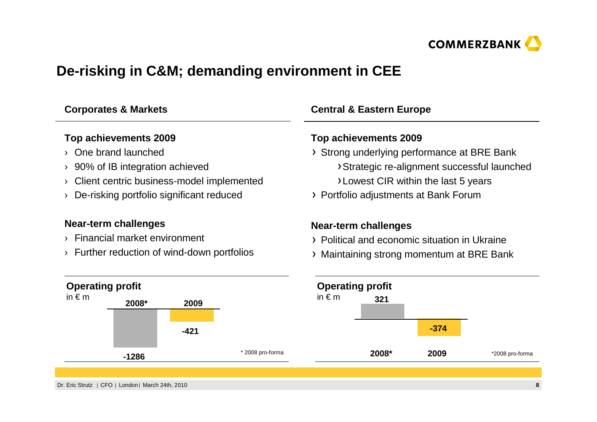

# **De-risking in C&M; demanding environment in CEE**

| <b>Corporates &amp; Markets</b>                |                                                   | <b>Central &amp; Eastern Europe</b>           |                                             |                                             |                             |                                         |                 |
|------------------------------------------------|---------------------------------------------------|-----------------------------------------------|---------------------------------------------|---------------------------------------------|-----------------------------|-----------------------------------------|-----------------|
| Top achievements 2009                          |                                                   |                                               | Top achievements 2009                       |                                             |                             |                                         |                 |
|                                                | One brand launched                                |                                               |                                             | > Strong underlying performance at BRE Bank |                             |                                         |                 |
| 90% of IB integration achieved<br>Σ            |                                                   |                                               | >Strategic re-alignment successful launched |                                             |                             |                                         |                 |
| Client centric business-model implemented<br>እ |                                                   |                                               | >Lowest CIR within the last 5 years         |                                             |                             |                                         |                 |
|                                                | De-risking portfolio significant reduced          |                                               | > Portfolio adjustments at Bank Forum       |                                             |                             |                                         |                 |
|                                                | Near-term challenges                              |                                               |                                             |                                             | <b>Near-term challenges</b> |                                         |                 |
| Financial market environment                   |                                                   | > Political and economic situation in Ukraine |                                             |                                             |                             |                                         |                 |
|                                                | Further reduction of wind-down portfolios         |                                               |                                             | ≻                                           |                             | Maintaining strong momentum at BRE Bank |                 |
| <b>Operating profit</b>                        |                                                   |                                               |                                             | <b>Operating profit</b>                     |                             |                                         |                 |
| in $\epsilon$ m                                | 2008*                                             | 2009                                          |                                             | in $\notin$ m                               | 321                         |                                         |                 |
|                                                |                                                   | $-421$                                        |                                             |                                             |                             | $-374$                                  |                 |
|                                                | $-1286$                                           |                                               | * 2008 pro-forma                            |                                             | 2008*                       | 2009                                    | *2008 pro-forma |
|                                                |                                                   |                                               |                                             |                                             |                             |                                         |                 |
|                                                | Dr. Eric Strutz   CFO   London   March 24th, 2010 |                                               |                                             |                                             |                             |                                         | 8               |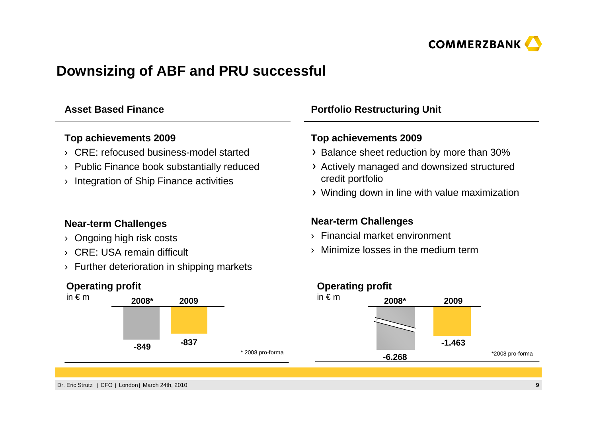

## **Downsizing of ABF and PRU successful**

### **Asset Based Finance**

### **Top achievements 2009**

- › CRE: refocused business-model started
- › Public Finance book substantially reduced
- › Integration of Ship Finance activities

### **Near-term Challenges**

- › Ongoing high risk costs
- › CRE: USA remain difficult
- › Further deterioration in shipping markets

### **Operating profit**



### **Portfolio Restructuring Unit**

### **Top achievements 2009**

- $\rightarrow$  Balance sheet reduction by more than 30%
- Actively managed and downsized structured credit portfolio
- Winding down in line with value maximization

### **Near-term Challenges**

- › Financial market environment
- $\rightarrow$  Minimize losses in the medium term

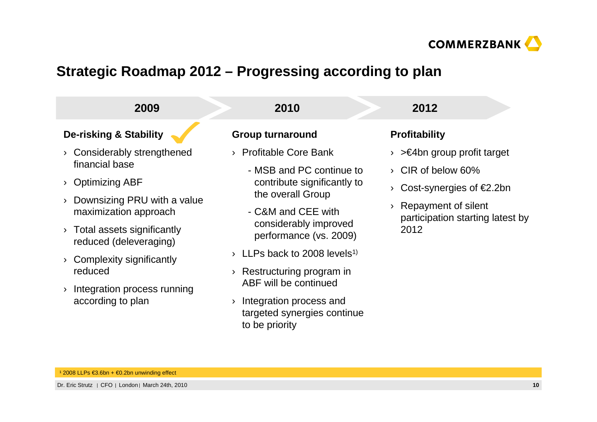

# **Strategic Roadmap 2012 – Progressing according to plan**

| 2009                                                 | 2010                                                                     | 2012                                     |
|------------------------------------------------------|--------------------------------------------------------------------------|------------------------------------------|
| <b>De-risking &amp; Stability</b>                    | <b>Group turnaround</b>                                                  | <b>Profitability</b>                     |
| Considerably strengthened                            | <b>Profitable Core Bank</b>                                              | $\geq$ 4bn group profit target           |
| financial base                                       | - MSB and PC continue to                                                 | CIR of below 60%<br>$\sum_{i=1}^{n}$     |
| <b>Optimizing ABF</b>                                | contribute significantly to                                              | Cost-synergies of $E2.2$ bn              |
| Downsizing PRU with a value<br>maximization approach | the overall Group<br>- C&M and CEE with                                  | Repayment of silent                      |
| Total assets significantly<br>reduced (deleveraging) | considerably improved<br>performance (vs. 2009)                          | participation starting latest by<br>2012 |
| Complexity significantly                             | LLPs back to 2008 levels <sup>1)</sup><br>$\sum_{i=1}^{n}$               |                                          |
| reduced                                              | Restructuring program in<br>Σ,                                           |                                          |
| Integration process running                          | ABF will be continued                                                    |                                          |
| according to plan                                    | Integration process and<br>targeted synergies continue<br>to be priority |                                          |

¹ 2008 LLPs €3.6bn + €0.2bn unwinding effect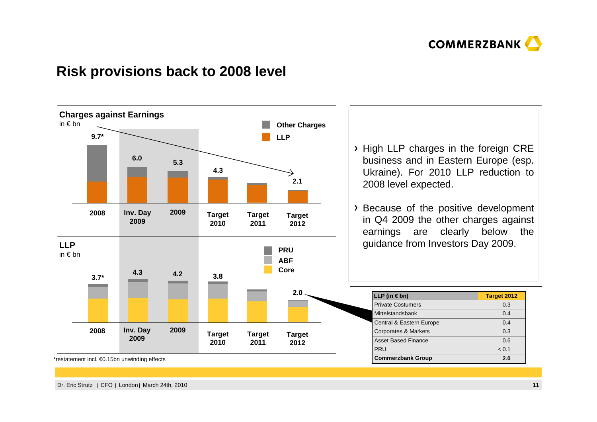

### **Risk provisions back to 2008 level**



\*restatement incl. €0.15bn unwinding effects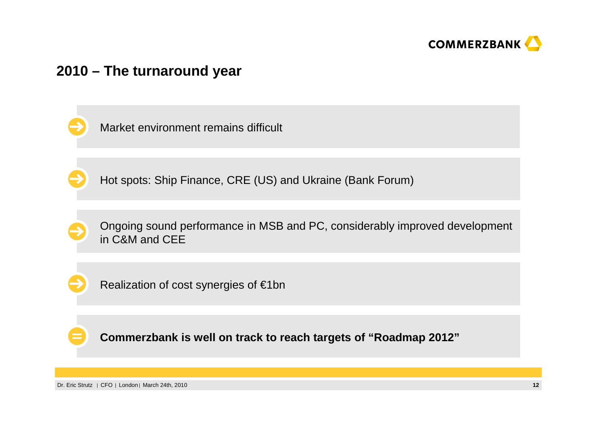

### **2010 – The turnaround year**

Market environment remains difficult

Hot spots: Ship Finance, CRE (US) and Ukraine (Bank Forum)

Ongoing sound performance in MSB and PC, considerably improved development in C&M and CEE



Realization of cost synergies of €1bn

**Commerzbank is well on track to reach targets of "Roadmap 2012"**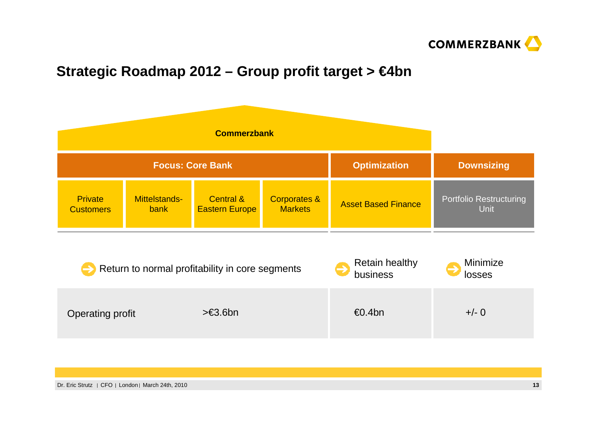

# **Strategic Roadmap 2012 – Group profit target > €4bn**

| <b>Commerzbank</b>                 |                              |                                               |                                           |                            |                                               |
|------------------------------------|------------------------------|-----------------------------------------------|-------------------------------------------|----------------------------|-----------------------------------------------|
| <b>Focus: Core Bank</b>            |                              |                                               | <b>Optimization</b>                       | <b>Downsizing</b>          |                                               |
| <b>Private</b><br><b>Customers</b> | Mittelstands-<br><b>bank</b> | <b>Central &amp;</b><br><b>Eastern Europe</b> | <b>Corporates &amp;</b><br><b>Markets</b> | <b>Asset Based Finance</b> | <b>Portfolio Restructuring</b><br><b>Unit</b> |

|                  | Return to normal profitability in core segments | <b>Retain healthy</b><br>business | Minimize<br>losses |
|------------------|-------------------------------------------------|-----------------------------------|--------------------|
| Operating profit | $> \in 3.6$ bn                                  | €0.4bn                            | $+/- 0$            |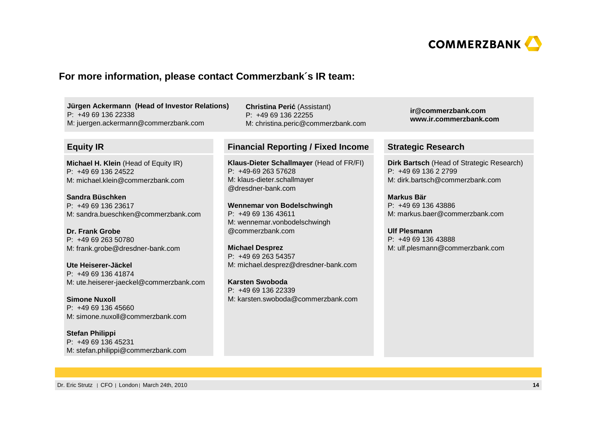

#### **For more information, please contact Commerzbank´s IR team:**

**Jürgen Ackermann (Head of Investor Relations)**P: +49 69 136 22338M: juergen.ackermann@commerzbank.com

#### **Equity IR**

**Michael H. Klein** (Head of Equity IR)P: +49 69 136 24522M: michael.klein@commerzbank.com

**Sandra Büschken** P: +49 69 136 23617M: sandra.bueschken@commerzbank.com

**Dr. Frank Grobe** P: +49 69 263 50780M: frank.grobe@dresdner-bank.com

**Ute Heiserer-Jäckel** P: +49 69 136 41874M: ute.heiserer-jaeckel@commerzbank.com

**Simone Nuxoll** P: +49 69 136 45660M: simone.nuxoll@commerzbank.com

**Stefan Philippi** P: +49 69 136 45231M: stefan.philippi@commerzbank.com

**Christina Peri**ć (Assistant)  $P: +496913622255$ M: christina.peric@commerzbank.com

#### **Financial Reporting / Fixed Income Strategic Research**

**Klaus-Dieter Schallmayer** (Head of FR/FI)P: +49-69 263 57628 M: klaus-dieter.schallmayer@dresdner-bank.com

**Wennemar von Bodelschwingh**P: +49 69 136 43611 M: wennemar.vonbodelschwingh@commerzbank.com

**Michael Desprez** P: +49 69 263 54357M: michael.desprez@dresdner-bank.com

**Karsten Swoboda** P: +49 69 136 22339M: karsten.swoboda@commerzbank.com **ir@commerzbank.comwww.ir.commerzbank.com**

**Dirk Bartsch** (Head of Strategic Research)P: +49 69 136 2 2799 M: dirk.bartsch@commerzbank.com

**Markus Bär** P: +49 69 136 43886 M: markus.baer@commerzbank.com

**Ulf Plesmann** P: +49 69 136 43888 M: ulf.plesmann@commerzbank.com